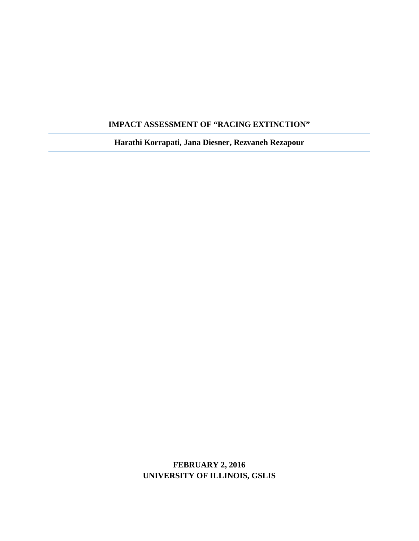# **IMPACT ASSESSMENT OF "RACING EXTINCTION"**

**Harathi Korrapati, Jana Diesner, Rezvaneh Rezapour**

# **FEBRUARY 2, 2016 UNIVERSITY OF ILLINOIS, GSLIS**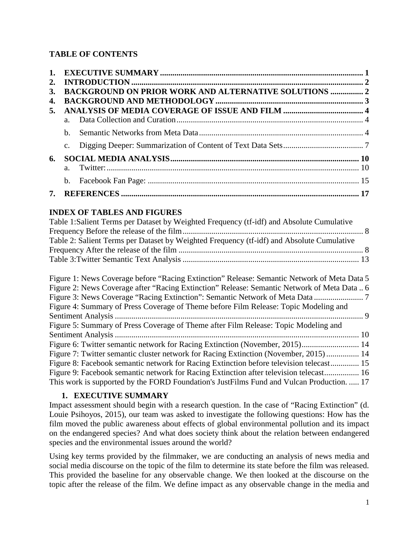# **TABLE OF CONTENTS**

| 2. |                |                                                              |  |
|----|----------------|--------------------------------------------------------------|--|
| 3. |                | <b>BACKGROUND ON PRIOR WORK AND ALTERNATIVE SOLUTIONS  2</b> |  |
| 4. |                |                                                              |  |
| 5. |                |                                                              |  |
|    | $a_{\cdot}$    |                                                              |  |
|    | h              |                                                              |  |
|    | $\mathbf{c}$ . |                                                              |  |
| 6. |                |                                                              |  |
|    | $\mathbf{a}$   |                                                              |  |
|    | b.             |                                                              |  |
| 7. |                |                                                              |  |

# **INDEX OF TABLES AND FIGURES**

| Table 1: Salient Terms per Dataset by Weighted Frequency (tf-idf) and Absolute Cumulative |  |
|-------------------------------------------------------------------------------------------|--|
|                                                                                           |  |
| Table 2: Salient Terms per Dataset by Weighted Frequency (tf-idf) and Absolute Cumulative |  |
|                                                                                           |  |
|                                                                                           |  |

| Figure 1: News Coverage before "Racing Extinction" Release: Semantic Network of Meta Data 5 |  |
|---------------------------------------------------------------------------------------------|--|
| Figure 2: News Coverage after "Racing Extinction" Release: Semantic Network of Meta Data  6 |  |
|                                                                                             |  |
| Figure 4: Summary of Press Coverage of Theme before Film Release: Topic Modeling and        |  |
|                                                                                             |  |
| Figure 5: Summary of Press Coverage of Theme after Film Release: Topic Modeling and         |  |
|                                                                                             |  |
|                                                                                             |  |
|                                                                                             |  |
| Figure 7: Twitter semantic cluster network for Racing Extinction (November, 2015)  14       |  |
| Figure 8: Facebook semantic network for Racing Extinction before television telecast 15     |  |
| Figure 9: Facebook semantic network for Racing Extinction after television telecast 16      |  |

## **1. EXECUTIVE SUMMARY**

Impact assessment should begin with a research question. In the case of "Racing Extinction" (d. Louie Psihoyos, 2015), our team was asked to investigate the following questions: How has the film moved the public awareness about effects of global environmental pollution and its impact on the endangered species? And what does society think about the relation between endangered species and the environmental issues around the world?

Using key terms provided by the filmmaker, we are conducting an analysis of news media and social media discourse on the topic of the film to determine its state before the film was released. This provided the baseline for any observable change. We then looked at the discourse on the topic after the release of the film. We define impact as any observable change in the media and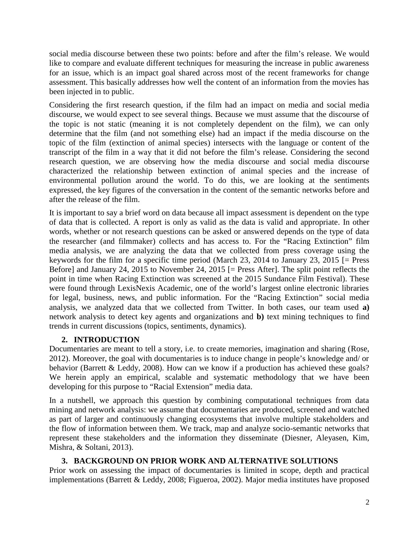social media discourse between these two points: before and after the film's release. We would like to compare and evaluate different techniques for measuring the increase in public awareness for an issue, which is an impact goal shared across most of the recent frameworks for change assessment. This basically addresses how well the content of an information from the movies has been injected in to public.

Considering the first research question, if the film had an impact on media and social media discourse, we would expect to see several things. Because we must assume that the discourse of the topic is not static (meaning it is not completely dependent on the film), we can only determine that the film (and not something else) had an impact if the media discourse on the topic of the film (extinction of animal species) intersects with the language or content of the transcript of the film in a way that it did not before the film's release. Considering the second research question, we are observing how the media discourse and social media discourse characterized the relationship between extinction of animal species and the increase of environmental pollution around the world. To do this, we are looking at the sentiments expressed, the key figures of the conversation in the content of the semantic networks before and after the release of the film.

It is important to say a brief word on data because all impact assessment is dependent on the type of data that is collected. A report is only as valid as the data is valid and appropriate. In other words, whether or not research questions can be asked or answered depends on the type of data the researcher (and filmmaker) collects and has access to. For the "Racing Extinction" film media analysis, we are analyzing the data that we collected from press coverage using the keywords for the film for a specific time period (March 23, 2014 to January 23, 2015 [= Press Before] and January 24, 2015 to November 24, 2015 [= Press After]. The split point reflects the point in time when Racing Extinction was screened at the 2015 Sundance Film Festival). These were found through LexisNexis Academic, one of the world's largest online electronic libraries for legal, business, news, and public information. For the "Racing Extinction" social media analysis, we analyzed data that we collected from Twitter. In both cases, our team used **a)** network analysis to detect key agents and organizations and **b)** text mining techniques to find trends in current discussions (topics, sentiments, dynamics).

## **2. INTRODUCTION**

Documentaries are meant to tell a story, i.e. to create memories, imagination and sharing (Rose, 2012). Moreover, the goal with documentaries is to induce change in people's knowledge and/ or behavior (Barrett & Leddy, 2008). How can we know if a production has achieved these goals? We herein apply an empirical, scalable and systematic methodology that we have been developing for this purpose to "Racial Extension" media data.

In a nutshell, we approach this question by combining computational techniques from data mining and network analysis: we assume that documentaries are produced, screened and watched as part of larger and continuously changing ecosystems that involve multiple stakeholders and the flow of information between them. We track, map and analyze socio-semantic networks that represent these stakeholders and the information they disseminate (Diesner, Aleyasen, Kim, Mishra, & Soltani, 2013).

# **3. BACKGROUND ON PRIOR WORK AND ALTERNATIVE SOLUTIONS**

Prior work on assessing the impact of documentaries is limited in scope, depth and practical implementations (Barrett & Leddy, 2008; Figueroa, 2002). Major media institutes have proposed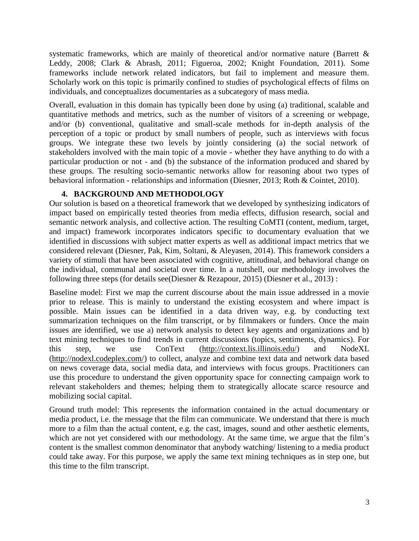systematic frameworks, which are mainly of theoretical and/or normative nature (Barrett & Leddy, 2008; Clark & Abrash, 2011; Figueroa, 2002; Knight Foundation, 2011). Some frameworks include network related indicators, but fail to implement and measure them. Scholarly work on this topic is primarily confined to studies of psychological effects of films on individuals, and conceptualizes documentaries as a subcategory of mass media.

Overall, evaluation in this domain has typically been done by using (a) traditional, scalable and quantitative methods and metrics, such as the number of visitors of a screening or webpage, and/or (b) conventional, qualitative and small-scale methods for in-depth analysis of the perception of a topic or product by small numbers of people, such as interviews with focus groups. We integrate these two levels by jointly considering (a) the social network of stakeholders involved with the main topic of a movie - whether they have anything to do with a particular production or not - and (b) the substance of the information produced and shared by these groups. The resulting socio-semantic networks allow for reasoning about two types of behavioral information - relationships and information (Diesner, 2013; Roth & Cointet, 2010).

## **4. BACKGROUND AND METHODOLOGY**

Our solution is based on a theoretical framework that we developed by synthesizing indicators of impact based on empirically tested theories from media effects, diffusion research, social and semantic network analysis, and collective action. The resulting CoMTI (content, medium, target, and impact) framework incorporates indicators specific to documentary evaluation that we identified in discussions with subject matter experts as well as additional impact metrics that we considered relevant (Diesner, Pak, Kim, Soltani, & Aleyasen, 2014). This framework considers a variety of stimuli that have been associated with cognitive, attitudinal, and behavioral change on the individual, communal and societal over time. In a nutshell, our methodology involves the following three steps (for details see(Diesner & Rezapour, 2015) (Diesner et al., 2013) :

Baseline model: First we map the current discourse about the main issue addressed in a movie prior to release. This is mainly to understand the existing ecosystem and where impact is possible. Main issues can be identified in a data driven way, e.g. by conducting text summarization techniques on the film transcript, or by filmmakers or funders. Once the main issues are identified, we use a) network analysis to detect key agents and organizations and b) text mining techniques to find trends in current discussions (topics, sentiments, dynamics). For this step, we use ConText (http://context.lis.illinois.edu/) and NodeXL (http://nodexl.codeplex.com/) to collect, analyze and combine text data and network data based on news coverage data, social media data, and interviews with focus groups. Practitioners can use this procedure to understand the given opportunity space for connecting campaign work to relevant stakeholders and themes; helping them to strategically allocate scarce resource and mobilizing social capital.

Ground truth model: This represents the information contained in the actual documentary or media product, i.e. the message that the film can communicate. We understand that there is much more to a film than the actual content, e.g. the cast, images, sound and other aesthetic elements, which are not yet considered with our methodology. At the same time, we argue that the film's content is the smallest common denominator that anybody watching/ listening to a media product could take away. For this purpose, we apply the same text mining techniques as in step one, but this time to the film transcript.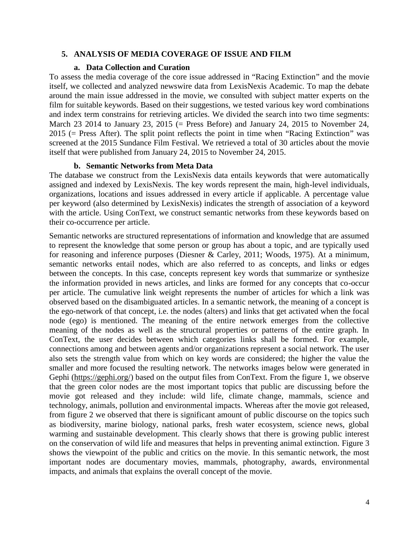### **5. ANALYSIS OF MEDIA COVERAGE OF ISSUE AND FILM**

#### **a. Data Collection and Curation**

To assess the media coverage of the core issue addressed in "Racing Extinction" and the movie itself, we collected and analyzed newswire data from LexisNexis Academic. To map the debate around the main issue addressed in the movie, we consulted with subject matter experts on the film for suitable keywords. Based on their suggestions, we tested various key word combinations and index term constrains for retrieving articles. We divided the search into two time segments: March 23 2014 to January 23, 2015 (= Press Before) and January 24, 2015 to November 24, 2015 (= Press After). The split point reflects the point in time when "Racing Extinction" was screened at the 2015 Sundance Film Festival. We retrieved a total of 30 articles about the movie itself that were published from January 24, 2015 to November 24, 2015.

#### **b. Semantic Networks from Meta Data**

The database we construct from the LexisNexis data entails keywords that were automatically assigned and indexed by LexisNexis. The key words represent the main, high-level individuals, organizations, locations and issues addressed in every article if applicable. A percentage value per keyword (also determined by LexisNexis) indicates the strength of association of a keyword with the article. Using ConText, we construct semantic networks from these keywords based on their co-occurrence per article.

Semantic networks are structured representations of information and knowledge that are assumed to represent the knowledge that some person or group has about a topic, and are typically used for reasoning and inference purposes (Diesner & Carley, 2011; Woods, 1975). At a minimum, semantic networks entail nodes, which are also referred to as concepts, and links or edges between the concepts. In this case, concepts represent key words that summarize or synthesize the information provided in news articles, and links are formed for any concepts that co-occur per article. The cumulative link weight represents the number of articles for which a link was observed based on the disambiguated articles. In a semantic network, the meaning of a concept is the ego-network of that concept, i.e. the nodes (alters) and links that get activated when the focal node (ego) is mentioned. The meaning of the entire network emerges from the collective meaning of the nodes as well as the structural properties or patterns of the entire graph. In ConText, the user decides between which categories links shall be formed. For example, connections among and between agents and/or organizations represent a social network. The user also sets the strength value from which on key words are considered; the higher the value the smaller and more focused the resulting network. The networks images below were generated in Gephi (https://gephi.org/) based on the output files from ConText. From the figure 1, we observe that the green color nodes are the most important topics that public are discussing before the movie got released and they include: wild life, climate change, mammals, science and technology, animals, pollution and environmental impacts. Whereas after the movie got released, from figure 2 we observed that there is significant amount of public discourse on the topics such as biodiversity, marine biology, national parks, fresh water ecosystem, science news, global warming and sustainable development. This clearly shows that there is growing public interest on the conservation of wild life and measures that helps in preventing animal extinction. Figure 3 shows the viewpoint of the public and critics on the movie. In this semantic network, the most important nodes are documentary movies, mammals, photography, awards, environmental impacts, and animals that explains the overall concept of the movie.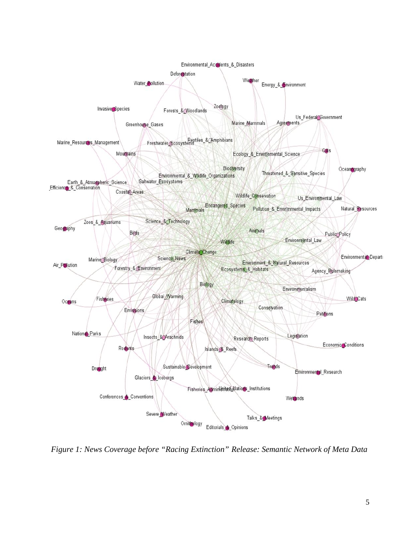

*Figure 1: News Coverage before "Racing Extinction" Release: Semantic Network of Meta Data*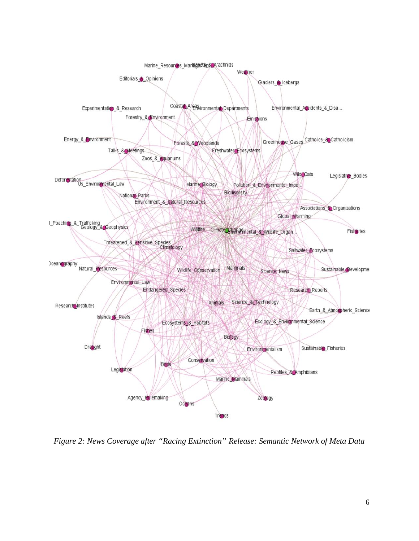

*Figure 2: News Coverage after "Racing Extinction" Release: Semantic Network of Meta Data*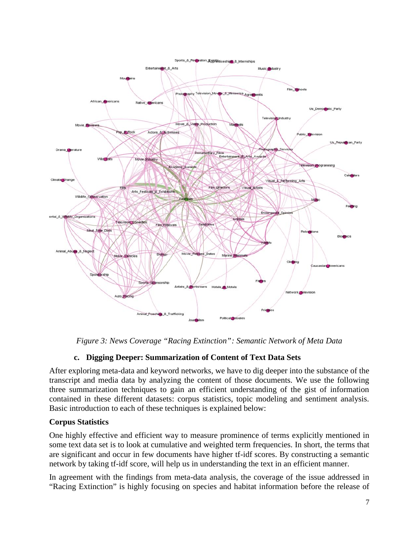

*Figure 3: News Coverage "Racing Extinction": Semantic Network of Meta Data*

## **c. Digging Deeper: Summarization of Content of Text Data Sets**

After exploring meta-data and keyword networks, we have to dig deeper into the substance of the transcript and media data by analyzing the content of those documents. We use the following three summarization techniques to gain an efficient understanding of the gist of information contained in these different datasets: corpus statistics, topic modeling and sentiment analysis. Basic introduction to each of these techniques is explained below:

### **Corpus Statistics**

One highly effective and efficient way to measure prominence of terms explicitly mentioned in some text data set is to look at cumulative and weighted term frequencies. In short, the terms that are significant and occur in few documents have higher tf-idf scores. By constructing a semantic network by taking tf-idf score, will help us in understanding the text in an efficient manner.

In agreement with the findings from meta-data analysis, the coverage of the issue addressed in "Racing Extinction" is highly focusing on species and habitat information before the release of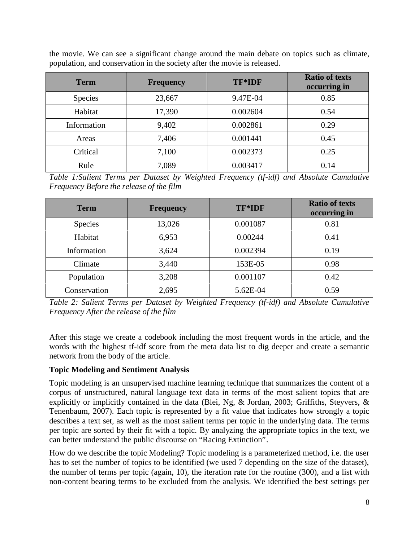the movie. We can see a significant change around the main debate on topics such as climate, population, and conservation in the society after the movie is released.

| <b>Term</b> | <b>Frequency</b> | TF*IDF   | <b>Ratio of texts</b><br>occurring in |
|-------------|------------------|----------|---------------------------------------|
| Species     | 23,667           | 9.47E-04 | 0.85                                  |
| Habitat     | 17,390           | 0.002604 | 0.54                                  |
| Information | 9,402            | 0.002861 | 0.29                                  |
| Areas       | 7,406            | 0.001441 | 0.45                                  |
| Critical    | 7,100            | 0.002373 | 0.25                                  |
| Rule        | 7,089            | 0.003417 | 0.14                                  |

*Table 1:Salient Terms per Dataset by Weighted Frequency (tf-idf) and Absolute Cumulative Frequency Before the release of the film*

| <b>Term</b>    | <b>Frequency</b> | TF*IDF   | <b>Ratio of texts</b><br>occurring in |
|----------------|------------------|----------|---------------------------------------|
| <b>Species</b> | 13,026           | 0.001087 | 0.81                                  |
| Habitat        | 6,953            | 0.00244  | 0.41                                  |
| Information    | 3,624            | 0.002394 | 0.19                                  |
| Climate        | 3,440            | 153E-05  | 0.98                                  |
| Population     | 3,208            | 0.001107 | 0.42                                  |
| Conservation   | 2,695            | 5.62E-04 | 0.59                                  |

*Table 2: Salient Terms per Dataset by Weighted Frequency (tf-idf) and Absolute Cumulative Frequency After the release of the film*

After this stage we create a codebook including the most frequent words in the article, and the words with the highest tf-idf score from the meta data list to dig deeper and create a semantic network from the body of the article.

### **Topic Modeling and Sentiment Analysis**

Topic modeling is an unsupervised machine learning technique that summarizes the content of a corpus of unstructured, natural language text data in terms of the most salient topics that are explicitly or implicitly contained in the data (Blei, Ng, & Jordan, 2003; Griffiths, Steyvers, & Tenenbaum, 2007). Each topic is represented by a fit value that indicates how strongly a topic describes a text set, as well as the most salient terms per topic in the underlying data. The terms per topic are sorted by their fit with a topic. By analyzing the appropriate topics in the text, we can better understand the public discourse on "Racing Extinction".

How do we describe the topic Modeling? Topic modeling is a parameterized method, i.e. the user has to set the number of topics to be identified (we used 7 depending on the size of the dataset), the number of terms per topic (again, 10), the iteration rate for the routine (300), and a list with non-content bearing terms to be excluded from the analysis. We identified the best settings per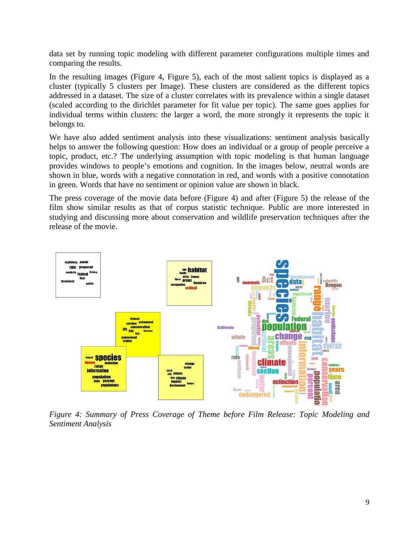data set by running topic modeling with different parameter configurations multiple times and comparing the results.

In the resulting images (Figure 4, Figure 5), each of the most salient topics is displayed as a cluster (typically 5 clusters per Image). These clusters are considered as the different topics addressed in a dataset. The size of a cluster correlates with its prevalence within a single dataset (scaled according to the dirichlet parameter for fit value per topic). The same goes applies for individual terms within clusters: the larger a word, the more strongly it represents the topic it belongs to.

We have also added sentiment analysis into these visualizations: sentiment analysis basically helps to answer the following question: How does an individual or a group of people perceive a topic, product, etc.? The underlying assumption with topic modeling is that human language provides windows to people's emotions and cognition. In the images below, neutral words are shown in blue, words with a negative connotation in red, and words with a positive connotation in green. Words that have no sentiment or opinion value are shown in black.

The press coverage of the movie data before (Figure 4) and after (Figure 5) the release of the film show similar results as that of corpus statistic technique. Public are more interested in studying and discussing more about conservation and wildlife preservation techniques after the release of the movie.



*Figure 4: Summary of Press Coverage of Theme before Film Release: Topic Modeling and Sentiment Analysis*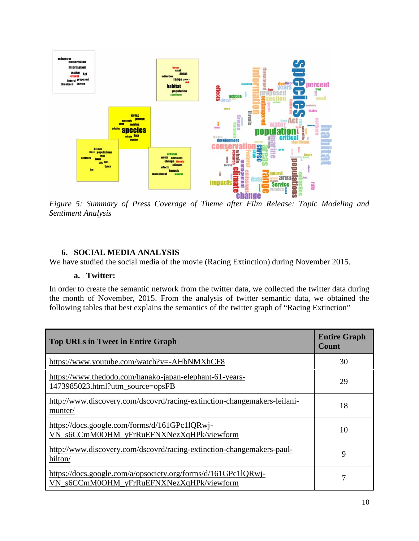

*Figure 5: Summary of Press Coverage of Theme after Film Release: Topic Modeling and Sentiment Analysis*

### **6. SOCIAL MEDIA ANALYSIS**

We have studied the social media of the movie (Racing Extinction) during November 2015.

### **a. Twitter:**

In order to create the semantic network from the twitter data, we collected the twitter data during the month of November, 2015. From the analysis of twitter semantic data, we obtained the following tables that best explains the semantics of the twitter graph of "Racing Extinction"

| <b>Top URLs in Tweet in Entire Graph</b>                                                                  | <b>Entire Graph</b><br>Count |
|-----------------------------------------------------------------------------------------------------------|------------------------------|
| https://www.youtube.com/watch?v=-AHbNMXhCF8                                                               | 30                           |
| https://www.thedodo.com/hanako-japan-elephant-61-years-<br>1473985023.html?utm_source=opsFB               | 29                           |
| http://www.discovery.com/dscovrd/racing-extinction-changemakers-leilani-<br>munter/                       | 18                           |
| https://docs.google.com/forms/d/161GPc11QRwj-<br>VN_s6CCmM0OHM_yFrRuEFNXNezXqHPk/viewform                 | 10                           |
| http://www.discovery.com/dscovrd/racing-extinction-changemakers-paul-<br>hilton/                          | 9                            |
| https://docs.google.com/a/opsociety.org/forms/d/161GPc11QRwj-<br>VN_s6CCmM0OHM_yFrRuEFNXNezXqHPk/viewform |                              |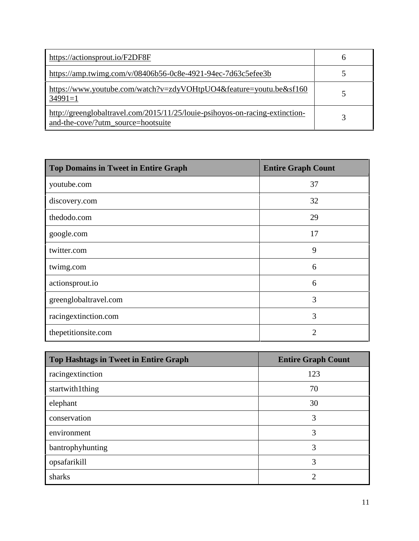| https://actionsprout.io/F2DF8F                                                                                     | h |
|--------------------------------------------------------------------------------------------------------------------|---|
| https://amp.twimg.com/v/08406b56-0c8e-4921-94ec-7d63c5efee3b                                                       |   |
| https://www.youtube.com/watch?v=zdyVOHtpUO4&feature=youtu.be&sf160<br>$34991=1$                                    |   |
| http://greenglobaltravel.com/2015/11/25/louie-psihoyos-on-racing-extinction-<br>and-the-cove/?utm_source=hootsuite |   |

| <b>Top Domains in Tweet in Entire Graph</b> | <b>Entire Graph Count</b> |
|---------------------------------------------|---------------------------|
| youtube.com                                 | 37                        |
| discovery.com                               | 32                        |
| thedodo.com                                 | 29                        |
| google.com                                  | 17                        |
| twitter.com                                 | 9                         |
| twimg.com                                   | 6                         |
| actionsprout.io                             | 6                         |
| greenglobaltravel.com                       | 3                         |
| racingextinction.com                        | 3                         |
| thepetitionsite.com                         | 2                         |

| Top Hashtags in Tweet in Entire Graph | <b>Entire Graph Count</b> |
|---------------------------------------|---------------------------|
| racingextinction                      | 123                       |
| startwith1thing                       | 70                        |
| elephant                              | 30                        |
| conservation                          | 3                         |
| environment                           | 3                         |
| bantrophyhunting                      | 3                         |
| opsafarikill                          | 3                         |
| sharks                                | 2                         |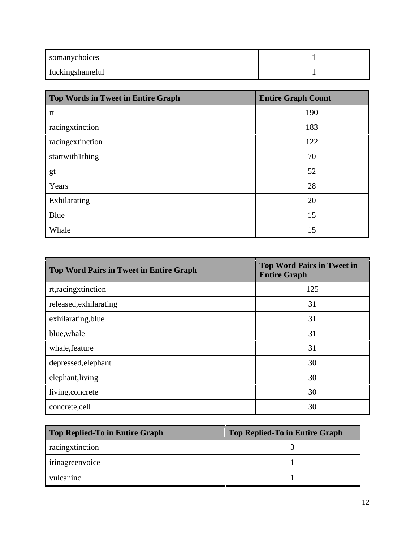| somanychoices   |  |
|-----------------|--|
| fuckingshameful |  |

| <b>Top Words in Tweet in Entire Graph</b> | <b>Entire Graph Count</b> |
|-------------------------------------------|---------------------------|
| rt                                        | 190                       |
| racingxtinction                           | 183                       |
| racingextinction                          | 122                       |
| startwith1thing                           | 70                        |
| gt                                        | 52                        |
| Years                                     | 28                        |
| Exhilarating                              | 20                        |
| Blue                                      | 15                        |
| Whale                                     | 15                        |

| <b>Top Word Pairs in Tweet in Entire Graph</b> | <b>Top Word Pairs in Tweet in</b><br><b>Entire Graph</b> |
|------------------------------------------------|----------------------------------------------------------|
| rt, racingxtinction                            | 125                                                      |
| released, exhilarating                         | 31                                                       |
| exhilarating, blue                             | 31                                                       |
| blue, whale                                    | 31                                                       |
| whale, feature                                 | 31                                                       |
| depressed, elephant                            | 30                                                       |
| elephant, living                               | 30                                                       |
| living, concrete                               | 30                                                       |
| concrete,cell                                  | 30                                                       |

| Top Replied-To in Entire Graph | <b>Top Replied-To in Entire Graph</b> |
|--------------------------------|---------------------------------------|
| racingxtinction                |                                       |
| irinagreenvoice                |                                       |
| vulcaninc                      |                                       |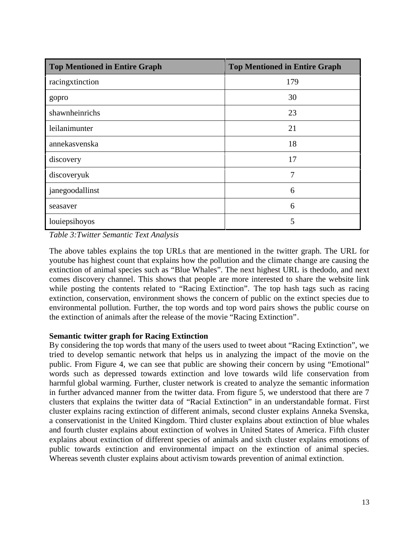| <b>Top Mentioned in Entire Graph</b> | <b>Top Mentioned in Entire Graph</b> |
|--------------------------------------|--------------------------------------|
| racingxtinction                      | 179                                  |
| gopro                                | 30                                   |
| shawnheinrichs                       | 23                                   |
| leilanimunter                        | 21                                   |
| annekasvenska                        | 18                                   |
| discovery                            | 17                                   |
| discoveryuk                          | 7                                    |
| janegoodallinst                      | 6                                    |
| seasaver                             | 6                                    |
| louiepsihoyos                        | 5                                    |

*Table 3:Twitter Semantic Text Analysis*

The above tables explains the top URLs that are mentioned in the twitter graph. The URL for youtube has highest count that explains how the pollution and the climate change are causing the extinction of animal species such as "Blue Whales". The next highest URL is thedodo, and next comes discovery channel. This shows that people are more interested to share the website link while posting the contents related to "Racing Extinction". The top hash tags such as racing extinction, conservation, environment shows the concern of public on the extinct species due to environmental pollution. Further, the top words and top word pairs shows the public course on the extinction of animals after the release of the movie "Racing Extinction".

## **Semantic twitter graph for Racing Extinction**

By considering the top words that many of the users used to tweet about "Racing Extinction", we tried to develop semantic network that helps us in analyzing the impact of the movie on the public. From Figure 4, we can see that public are showing their concern by using "Emotional" words such as depressed towards extinction and love towards wild life conservation from harmful global warming. Further, cluster network is created to analyze the semantic information in further advanced manner from the twitter data. From figure 5, we understood that there are 7 clusters that explains the twitter data of "Racial Extinction" in an understandable format. First cluster explains racing extinction of different animals, second cluster explains Anneka Svenska, a conservationist in the United Kingdom. Third cluster explains about extinction of blue whales and fourth cluster explains about extinction of wolves in United States of America. Fifth cluster explains about extinction of different species of animals and sixth cluster explains emotions of public towards extinction and environmental impact on the extinction of animal species. Whereas seventh cluster explains about activism towards prevention of animal extinction.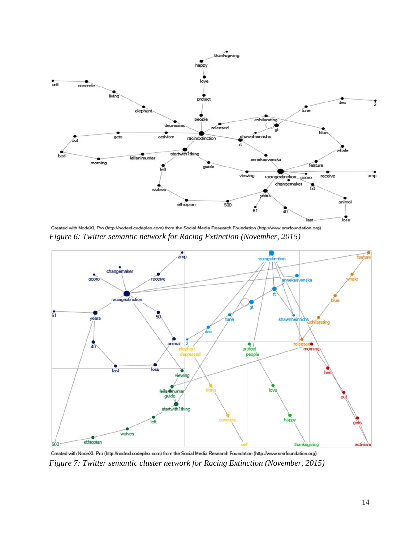

Created with NodeXL Pro (http://nodexl.codeplex.com) from the Social Media Research Foundation (http://www.smrfoundation.org) *Figure 6: Twitter semantic network for Racing Extinction (November, 2015)*



Created with NodeXL Pro (http://nodexl.codeplex.com) from the Social Media Research Foundation (http://www.smrfoundation.org) *Figure 7: Twitter semantic cluster network for Racing Extinction (November, 2015)*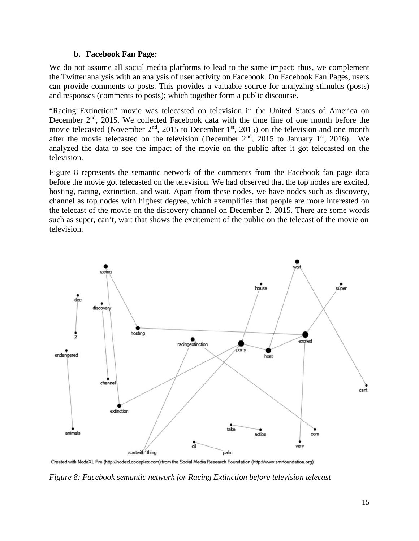### **b. Facebook Fan Page:**

We do not assume all social media platforms to lead to the same impact; thus, we complement the Twitter analysis with an analysis of user activity on Facebook. On Facebook Fan Pages, users can provide comments to posts. This provides a valuable source for analyzing stimulus (posts) and responses (comments to posts); which together form a public discourse.

"Racing Extinction" movie was telecasted on television in the United States of America on December 2<sup>nd</sup>, 2015. We collected Facebook data with the time line of one month before the movie telecasted (November  $2<sup>nd</sup>$ , 2015 to December 1<sup>st</sup>, 2015) on the television and one month after the movie telecasted on the television (December  $2<sup>nd</sup>$ , 2015 to January 1<sup>st</sup>, 2016). We analyzed the data to see the impact of the movie on the public after it got telecasted on the television.

Figure 8 represents the semantic network of the comments from the Facebook fan page data before the movie got telecasted on the television. We had observed that the top nodes are excited, hosting, racing, extinction, and wait. Apart from these nodes, we have nodes such as discovery, channel as top nodes with highest degree, which exemplifies that people are more interested on the telecast of the movie on the discovery channel on December 2, 2015. There are some words such as super, can't, wait that shows the excitement of the public on the telecast of the movie on television.



Created with NodeXL Pro (http://nodexl.codeplex.com) from the Social Media Research Foundation (http://www.smrfoundation.org)

*Figure 8: Facebook semantic network for Racing Extinction before television telecast*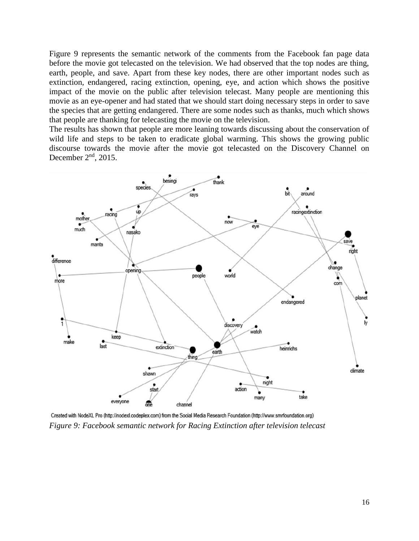Figure 9 represents the semantic network of the comments from the Facebook fan page data before the movie got telecasted on the television. We had observed that the top nodes are thing, earth, people, and save. Apart from these key nodes, there are other important nodes such as extinction, endangered, racing extinction, opening, eye, and action which shows the positive impact of the movie on the public after television telecast. Many people are mentioning this movie as an eye-opener and had stated that we should start doing necessary steps in order to save the species that are getting endangered. There are some nodes such as thanks, much which shows that people are thanking for telecasting the movie on the television.

The results has shown that people are more leaning towards discussing about the conservation of wild life and steps to be taken to eradicate global warming. This shows the growing public discourse towards the movie after the movie got telecasted on the Discovery Channel on December  $2<sup>nd</sup>$ , 2015.



Created with NodeXL Pro (http://nodexl.codeplex.com) from the Social Media Research Foundation (http://www.smrfoundation.org) *Figure 9: Facebook semantic network for Racing Extinction after television telecast*